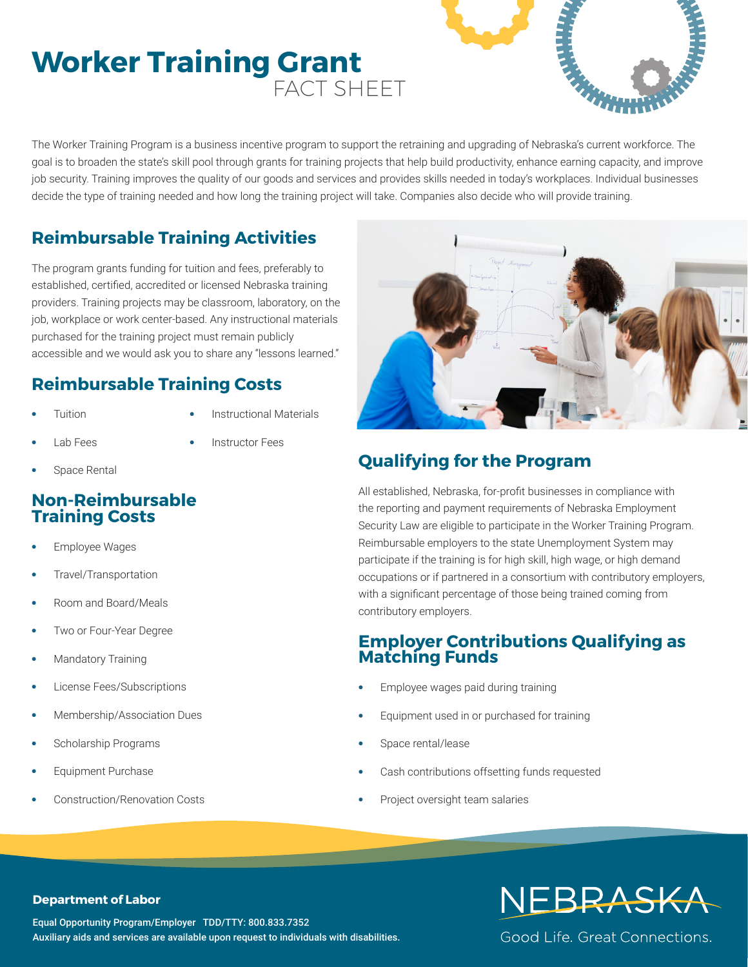# **Worker Training Grant** FACT SHEET



The Worker Training Program is a business incentive program to support the retraining and upgrading of Nebraska's current workforce. The goal is to broaden the state's skill pool through grants for training projects that help build productivity, enhance earning capacity, and improve job security. Training improves the quality of our goods and services and provides skills needed in today's workplaces. Individual businesses decide the type of training needed and how long the training project will take. Companies also decide who will provide training.

## **Reimbursable Training Activities**

The program grants funding for tuition and fees, preferably to established, certified, accredited or licensed Nebraska training providers. Training projects may be classroom, laboratory, on the job, workplace or work center-based. Any instructional materials purchased for the training project must remain publicly accessible and we would ask you to share any "lessons learned."

## **Reimbursable Training Costs**

**•** Tuition

- **•** Instructional Materials
- **•** Lab Fees
- **•** Instructor Fees
- 

**•** Space Rental

## **Non-Reimbursable Training Costs**

- **•** Employee Wages
- **•** Travel/Transportation
- **•** Room and Board/Meals
- **•** Two or Four-Year Degree
- **•** Mandatory Training
- **•** License Fees/Subscriptions
- **•** Membership/Association Dues
- **•** Scholarship Programs
- **•** Equipment Purchase
- **•** Construction/Renovation Costs



## **Qualifying for the Program**

All established, Nebraska, for-profit businesses in compliance with the reporting and payment requirements of Nebraska Employment Security Law are eligible to participate in the Worker Training Program. Reimbursable employers to the state Unemployment System may participate if the training is for high skill, high wage, or high demand occupations or if partnered in a consortium with contributory employers, with a significant percentage of those being trained coming from contributory employers.

## **Employer Contributions Qualifying as Matching Funds**

- **•** Employee wages paid during training
- **•** Equipment used in or purchased for training
- **•** Space rental/lease
- **•** Cash contributions offsetting funds requested
- **•** Project oversight team salaries

#### **Department of Labor**

Equal Opportunity Program/Employer TDD/TTY: 800.833.7352 Auxiliary aids and services are available upon request to individuals with disabilities.

# NEBRASKA

Good Life, Great Connections.